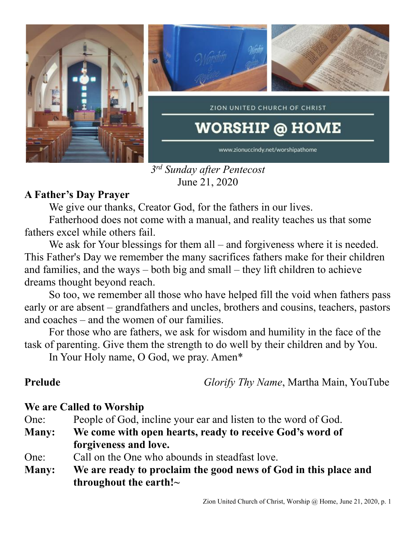

*3 rd Sunday after Pentecost* June 21, 2020

# **A Father's Day Prayer**

We give our thanks, Creator God, for the fathers in our lives.

Fatherhood does not come with a manual, and reality teaches us that some fathers excel while others fail.

We ask for Your blessings for them all – and forgiveness where it is needed. This Father's Day we remember the many sacrifices fathers make for their children and families, and the ways – both big and small – they lift children to achieve dreams thought beyond reach.

So too, we remember all those who have helped fill the void when fathers pass early or are absent – grandfathers and uncles, brothers and cousins, teachers, pastors and coaches – and the women of our families.

For those who are fathers, we ask for wisdom and humility in the face of the task of parenting. Give them the strength to do well by their children and by You.

In Your Holy name, O God, we pray. Amen\*

**Prelude** *Glorify Thy Name*, Martha Main, YouTube

### **We are Called to Worship**

- One: People of God, incline your ear and listen to the word of God.
- **Many: We come with open hearts, ready to receive God's word of forgiveness and love.**
- One: Call on the One who abounds in steadfast love.
- **Many: We are ready to proclaim the good news of God in this place and throughout the earth!~**

# Zion United Church of Christ, Worship @ Home, June 21, 2020, p. 1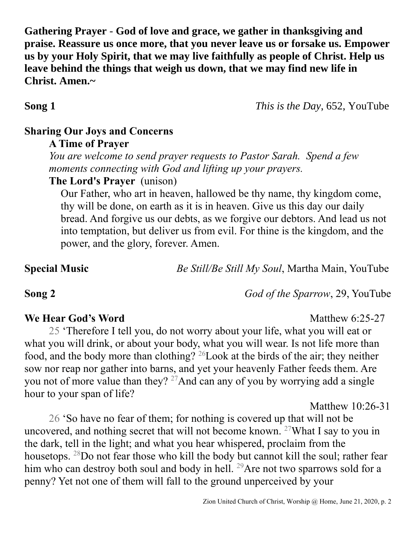**Gathering Prayer** - **God of love and grace, we gather in thanksgiving and praise. Reassure us once more, that you never leave us or forsake us. Empower us by your Holy Spirit, that we may live faithfully as people of Christ. Help us leave behind the things that weigh us down, that we may find new life in Christ. Amen.~**

**Song 1** *This is the Day*, 652, YouTube

### **Sharing Our Joys and Concerns**

*You are welcome to send prayer requests to Pastor Sarah. Spend a few moments connecting with God and lifting up your prayers.*

# **The Lord's Prayer** (unison)

Our Father, who art in heaven, hallowed be thy name, thy kingdom come, thy will be done, on earth as it is in heaven. Give us this day our daily bread. And forgive us our debts, as we forgive our debtors. And lead us not into temptation, but deliver us from evil. For thine is the kingdom, and the power, and the glory, forever. Amen.

**Special Music** *Be Still/Be Still My Soul*, Martha Main, YouTube

**Song 2** *God of the Sparrow*, 29, YouTube

**We Hear God's Word** Matthew 6:25-27

25 'Therefore I tell you, do not worry about your life, what you will eat or what you will drink, or about your body, what you will wear. Is not life more than food, and the body more than clothing? <sup>26</sup>Look at the birds of the air; they neither sow nor reap nor gather into barns, and yet your heavenly Father feeds them. Are you not of more value than they?  $27$ And can any of you by worrying add a single hour to your span of life?

Matthew 10:26-31

26 'So have no fear of them; for nothing is covered up that will not be uncovered, and nothing secret that will not become known.  $27$ What I say to you in the dark, tell in the light; and what you hear whispered, proclaim from the housetops. <sup>28</sup>Do not fear those who kill the body but cannot kill the soul; rather fear him who can destroy both soul and body in hell. <sup>29</sup>Are not two sparrows sold for a penny? Yet not one of them will fall to the ground unperceived by your

**A Time of Prayer**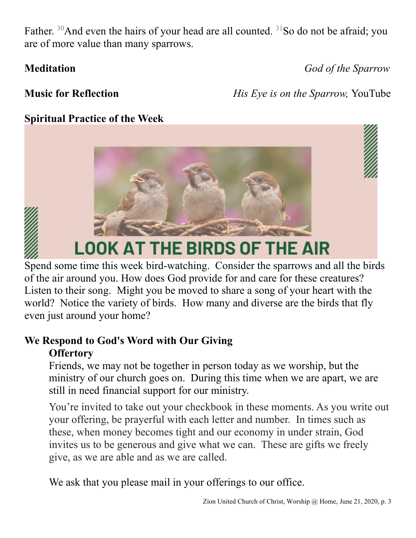Father.  $30$ And even the hairs of your head are all counted.  $31$ So do not be afraid; you are of more value than many sparrows.

**Meditation** *God of the Sparrow*

**Music for Reflection** *<i>His Eye is on the Sparrow, YouTube* 

# **Spiritual Practice of the Week**





# **LOOK AT THE BIRDS OF THE AIR**

Spend some time this week bird-watching. Consider the sparrows and all the birds of the air around you. How does God provide for and care for these creatures? Listen to their song. Might you be moved to share a song of your heart with the world? Notice the variety of birds. How many and diverse are the birds that fly even just around your home?

# **We Respond to God's Word with Our Giving Offertory**

Friends, we may not be together in person today as we worship, but the ministry of our church goes on. During this time when we are apart, we are still in need financial support for our ministry.

You're invited to take out your checkbook in these moments. As you write out your offering, be prayerful with each letter and number. In times such as these, when money becomes tight and our economy in under strain, God invites us to be generous and give what we can. These are gifts we freely give, as we are able and as we are called.

We ask that you please mail in your offerings to our office.